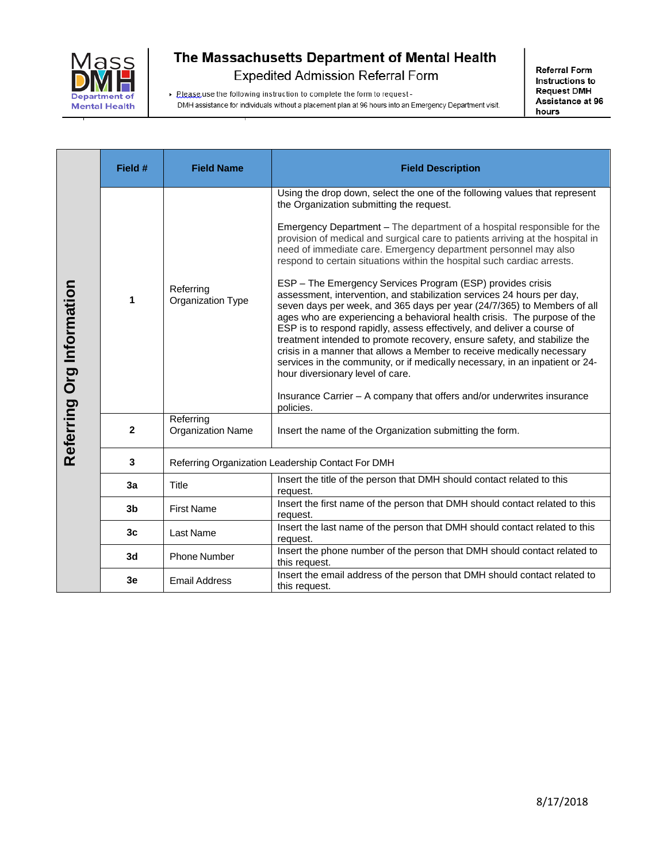

> Please use the following instruction to complete the form to request -

DMH assistance for individuals without a placement plan at 96 hours into an Emergency Department visit.

|                           | Field #        | <b>Field Name</b>                                 | <b>Field Description</b>                                                                                                                                                                                                                                                                                                                                                                                                                                                                                                                                                                                                                                                                                                                                                                                                                                                                                                                                                                                                                                                                                                                                                    |
|---------------------------|----------------|---------------------------------------------------|-----------------------------------------------------------------------------------------------------------------------------------------------------------------------------------------------------------------------------------------------------------------------------------------------------------------------------------------------------------------------------------------------------------------------------------------------------------------------------------------------------------------------------------------------------------------------------------------------------------------------------------------------------------------------------------------------------------------------------------------------------------------------------------------------------------------------------------------------------------------------------------------------------------------------------------------------------------------------------------------------------------------------------------------------------------------------------------------------------------------------------------------------------------------------------|
| Referring Org Information | 1              | Referring<br>Organization Type                    | Using the drop down, select the one of the following values that represent<br>the Organization submitting the request.<br>Emergency Department - The department of a hospital responsible for the<br>provision of medical and surgical care to patients arriving at the hospital in<br>need of immediate care. Emergency department personnel may also<br>respond to certain situations within the hospital such cardiac arrests.<br>ESP - The Emergency Services Program (ESP) provides crisis<br>assessment, intervention, and stabilization services 24 hours per day,<br>seven days per week, and 365 days per year (24/7/365) to Members of all<br>ages who are experiencing a behavioral health crisis. The purpose of the<br>ESP is to respond rapidly, assess effectively, and deliver a course of<br>treatment intended to promote recovery, ensure safety, and stabilize the<br>crisis in a manner that allows a Member to receive medically necessary<br>services in the community, or if medically necessary, in an inpatient or 24-<br>hour diversionary level of care.<br>Insurance Carrier - A company that offers and/or underwrites insurance<br>policies. |
|                           | $\mathbf{2}$   | Referring<br><b>Organization Name</b>             | Insert the name of the Organization submitting the form.                                                                                                                                                                                                                                                                                                                                                                                                                                                                                                                                                                                                                                                                                                                                                                                                                                                                                                                                                                                                                                                                                                                    |
|                           | 3              | Referring Organization Leadership Contact For DMH |                                                                                                                                                                                                                                                                                                                                                                                                                                                                                                                                                                                                                                                                                                                                                                                                                                                                                                                                                                                                                                                                                                                                                                             |
|                           | 3a             | Title                                             | Insert the title of the person that DMH should contact related to this<br>request.                                                                                                                                                                                                                                                                                                                                                                                                                                                                                                                                                                                                                                                                                                                                                                                                                                                                                                                                                                                                                                                                                          |
|                           | 3 <sub>b</sub> | <b>First Name</b>                                 | Insert the first name of the person that DMH should contact related to this<br>request.                                                                                                                                                                                                                                                                                                                                                                                                                                                                                                                                                                                                                                                                                                                                                                                                                                                                                                                                                                                                                                                                                     |
|                           | 3 <sub>c</sub> | Last Name                                         | Insert the last name of the person that DMH should contact related to this<br>request.                                                                                                                                                                                                                                                                                                                                                                                                                                                                                                                                                                                                                                                                                                                                                                                                                                                                                                                                                                                                                                                                                      |
|                           | 3d             | <b>Phone Number</b>                               | Insert the phone number of the person that DMH should contact related to<br>this request.                                                                                                                                                                                                                                                                                                                                                                                                                                                                                                                                                                                                                                                                                                                                                                                                                                                                                                                                                                                                                                                                                   |
|                           | 3e             | <b>Email Address</b>                              | Insert the email address of the person that DMH should contact related to<br>this request                                                                                                                                                                                                                                                                                                                                                                                                                                                                                                                                                                                                                                                                                                                                                                                                                                                                                                                                                                                                                                                                                   |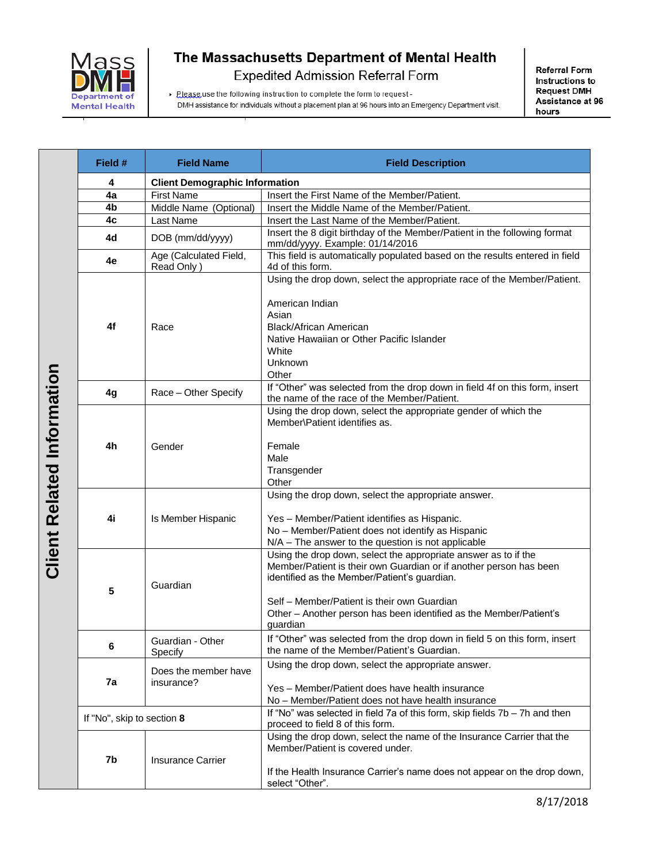

> Please use the following instruction to complete the form to request -

**Referral Form** Instructions to **Request DMH** Assistance at 96 hours

DMH assistance for individuals without a placement plan at 96 hours into an Emergency Department visit.

|                                   | Field #                    | <b>Field Name</b>                     | <b>Field Description</b>                                                                                                                                                                                                                                                                                               |  |
|-----------------------------------|----------------------------|---------------------------------------|------------------------------------------------------------------------------------------------------------------------------------------------------------------------------------------------------------------------------------------------------------------------------------------------------------------------|--|
| <b>Client Related Information</b> | 4                          | <b>Client Demographic Information</b> |                                                                                                                                                                                                                                                                                                                        |  |
|                                   | 4a                         | <b>First Name</b>                     | Insert the First Name of the Member/Patient.                                                                                                                                                                                                                                                                           |  |
|                                   | 4b                         | Middle Name (Optional)                | Insert the Middle Name of the Member/Patient.                                                                                                                                                                                                                                                                          |  |
|                                   | 4c                         | Last Name                             | Insert the Last Name of the Member/Patient.                                                                                                                                                                                                                                                                            |  |
|                                   | 4d                         | DOB (mm/dd/yyyy)                      | Insert the 8 digit birthday of the Member/Patient in the following format<br>mm/dd/yyyy. Example: 01/14/2016                                                                                                                                                                                                           |  |
|                                   | 4e                         | Age (Calculated Field,<br>Read Only)  | This field is automatically populated based on the results entered in field<br>4d of this form.                                                                                                                                                                                                                        |  |
|                                   | 4f                         | Race                                  | Using the drop down, select the appropriate race of the Member/Patient.<br>American Indian<br>Asian<br><b>Black/African American</b><br>Native Hawaiian or Other Pacific Islander<br>White<br>Unknown<br>Other                                                                                                         |  |
|                                   | 4g                         | Race - Other Specify                  | If "Other" was selected from the drop down in field 4f on this form, insert<br>the name of the race of the Member/Patient.                                                                                                                                                                                             |  |
|                                   | 4h                         | Gender                                | Using the drop down, select the appropriate gender of which the<br>Member\Patient identifies as.<br>Female<br>Male<br>Transgender<br>Other                                                                                                                                                                             |  |
|                                   | 4i                         | Is Member Hispanic                    | Using the drop down, select the appropriate answer.<br>Yes - Member/Patient identifies as Hispanic.<br>No - Member/Patient does not identify as Hispanic<br>$N/A$ – The answer to the question is not applicable                                                                                                       |  |
|                                   | 5                          | Guardian                              | Using the drop down, select the appropriate answer as to if the<br>Member/Patient is their own Guardian or if another person has been<br>identified as the Member/Patient's guardian.<br>Self - Member/Patient is their own Guardian<br>Other - Another person has been identified as the Member/Patient's<br>guardian |  |
|                                   | 6                          | Guardian - Other<br>Specify           | If "Other" was selected from the drop down in field 5 on this form, insert<br>the name of the Member/Patient's Guardian.                                                                                                                                                                                               |  |
|                                   | 7a                         | Does the member have<br>insurance?    | Using the drop down, select the appropriate answer.<br>Yes - Member/Patient does have health insurance<br>No - Member/Patient does not have health insurance                                                                                                                                                           |  |
|                                   | If "No", skip to section 8 |                                       | If "No" was selected in field 7a of this form, skip fields $7b - 7h$ and then<br>proceed to field 8 of this form.                                                                                                                                                                                                      |  |
|                                   | 7b                         | <b>Insurance Carrier</b>              | Using the drop down, select the name of the Insurance Carrier that the<br>Member/Patient is covered under.<br>If the Health Insurance Carrier's name does not appear on the drop down,<br>select "Other".                                                                                                              |  |

8/17/2018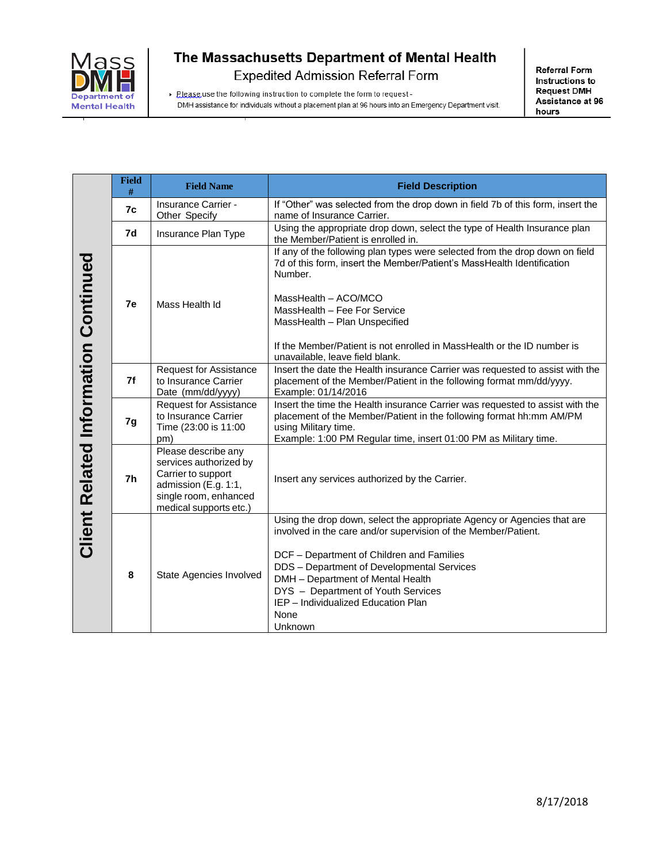

**Referral Form** Instructions to **Request DMH** Assistance at 96 hours

> Please use the following instruction to complete the form to request -DMH assistance for individuals without a placement plan at 96 hours into an Emergency Department visit.

|                                             | <b>Field</b><br># | <b>Field Name</b>                                                                                                                              | <b>Field Description</b>                                                                                                                                                                                                                         |
|---------------------------------------------|-------------------|------------------------------------------------------------------------------------------------------------------------------------------------|--------------------------------------------------------------------------------------------------------------------------------------------------------------------------------------------------------------------------------------------------|
|                                             | 7c                | Insurance Carrier -<br>Other Specify                                                                                                           | If "Other" was selected from the drop down in field 7b of this form, insert the<br>name of Insurance Carrier.                                                                                                                                    |
|                                             | 7d                | Insurance Plan Type                                                                                                                            | Using the appropriate drop down, select the type of Health Insurance plan<br>the Member/Patient is enrolled in.                                                                                                                                  |
|                                             |                   |                                                                                                                                                | If any of the following plan types were selected from the drop down on field<br>7d of this form, insert the Member/Patient's MassHealth Identification<br>Number.                                                                                |
|                                             | 7e                | Mass Health Id                                                                                                                                 | MassHealth - ACO/MCO<br>MassHealth - Fee For Service                                                                                                                                                                                             |
|                                             |                   |                                                                                                                                                | MassHealth - Plan Unspecified                                                                                                                                                                                                                    |
| <b>Client Related Information Continued</b> |                   |                                                                                                                                                | If the Member/Patient is not enrolled in MassHealth or the ID number is<br>unavailable, leave field blank.                                                                                                                                       |
|                                             | 7f                | <b>Request for Assistance</b><br>to Insurance Carrier<br>Date (mm/dd/yyyy)                                                                     | Insert the date the Health insurance Carrier was requested to assist with the<br>placement of the Member/Patient in the following format mm/dd/yyyy.<br>Example: 01/14/2016                                                                      |
|                                             | 7g                | <b>Request for Assistance</b><br>to Insurance Carrier<br>Time (23:00 is 11:00<br>pm)                                                           | Insert the time the Health insurance Carrier was requested to assist with the<br>placement of the Member/Patient in the following format hh:mm AM/PM<br>using Military time.<br>Example: 1:00 PM Regular time, insert 01:00 PM as Military time. |
|                                             | 7h                | Please describe any<br>services authorized by<br>Carrier to support<br>admission (E.g. 1:1,<br>single room, enhanced<br>medical supports etc.) | Insert any services authorized by the Carrier.                                                                                                                                                                                                   |
|                                             |                   |                                                                                                                                                | Using the drop down, select the appropriate Agency or Agencies that are<br>involved in the care and/or supervision of the Member/Patient.                                                                                                        |
|                                             | 8                 | State Agencies Involved                                                                                                                        | DCF - Department of Children and Families<br>DDS - Department of Developmental Services<br>DMH - Department of Mental Health<br>DYS - Department of Youth Services<br>IEP - Individualized Education Plan<br>None<br>Unknown                     |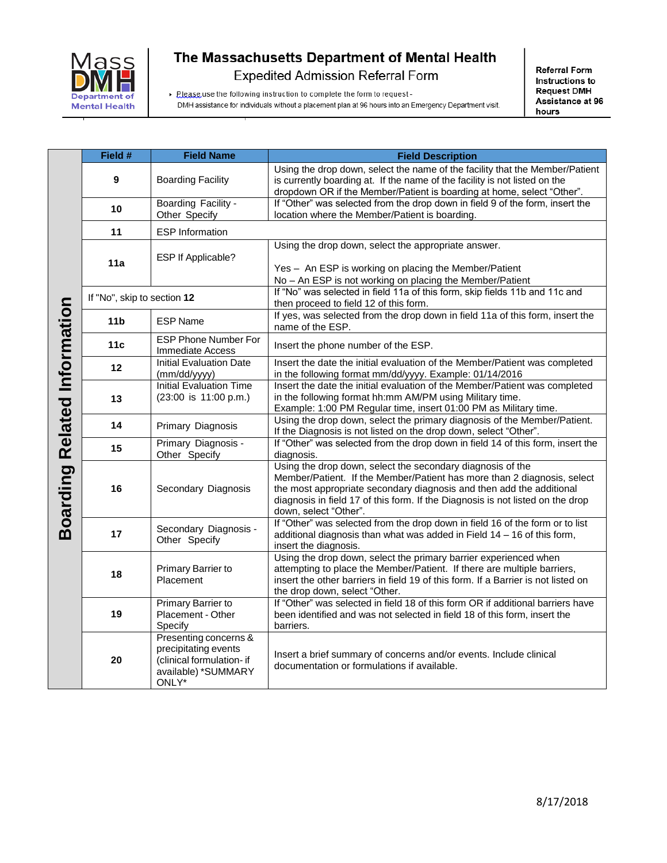

> Please use the following instruction to complete the form to request -

**Referral Form** Instructions to **Request DMH** Assistance at 96 hours

DMH assistance for individuals without a placement plan at 96 hours into an Emergency Department visit.

|                                     | Field #                     | <b>Field Name</b>                                                                                          | <b>Field Description</b>                                                                                                                                                                                                                                                                                                 |
|-------------------------------------|-----------------------------|------------------------------------------------------------------------------------------------------------|--------------------------------------------------------------------------------------------------------------------------------------------------------------------------------------------------------------------------------------------------------------------------------------------------------------------------|
| <b>Boarding Related Information</b> | 9                           | <b>Boarding Facility</b>                                                                                   | Using the drop down, select the name of the facility that the Member/Patient<br>is currently boarding at. If the name of the facility is not listed on the<br>dropdown OR if the Member/Patient is boarding at home, select "Other".                                                                                     |
|                                     | 10                          | Boarding Facility -<br>Other Specify                                                                       | If "Other" was selected from the drop down in field 9 of the form, insert the<br>location where the Member/Patient is boarding.                                                                                                                                                                                          |
|                                     | 11                          | <b>ESP</b> Information                                                                                     |                                                                                                                                                                                                                                                                                                                          |
|                                     | 11a                         | ESP If Applicable?                                                                                         | Using the drop down, select the appropriate answer.<br>Yes - An ESP is working on placing the Member/Patient<br>No - An ESP is not working on placing the Member/Patient                                                                                                                                                 |
|                                     | If "No", skip to section 12 |                                                                                                            | If "No" was selected in field 11a of this form, skip fields 11b and 11c and<br>then proceed to field 12 of this form.                                                                                                                                                                                                    |
|                                     | 11 <sub>b</sub>             | <b>ESP Name</b>                                                                                            | If yes, was selected from the drop down in field 11a of this form, insert the<br>name of the ESP.                                                                                                                                                                                                                        |
|                                     | 11 <sub>c</sub>             | <b>ESP Phone Number For</b><br><b>Immediate Access</b>                                                     | Insert the phone number of the ESP.                                                                                                                                                                                                                                                                                      |
|                                     | 12                          | <b>Initial Evaluation Date</b><br>(mm/dd/yyyy)                                                             | Insert the date the initial evaluation of the Member/Patient was completed<br>in the following format mm/dd/yyyy. Example: 01/14/2016                                                                                                                                                                                    |
|                                     | 13                          | <b>Initial Evaluation Time</b><br>(23:00 is 11:00 p.m.)                                                    | Insert the date the initial evaluation of the Member/Patient was completed<br>in the following format hh:mm AM/PM using Military time.<br>Example: 1:00 PM Regular time, insert 01:00 PM as Military time.                                                                                                               |
|                                     | 14                          | Primary Diagnosis                                                                                          | Using the drop down, select the primary diagnosis of the Member/Patient.<br>If the Diagnosis is not listed on the drop down, select "Other".                                                                                                                                                                             |
|                                     | 15                          | Primary Diagnosis -<br>Other Specify                                                                       | If "Other" was selected from the drop down in field 14 of this form, insert the<br>diagnosis.                                                                                                                                                                                                                            |
|                                     | 16                          | Secondary Diagnosis                                                                                        | Using the drop down, select the secondary diagnosis of the<br>Member/Patient. If the Member/Patient has more than 2 diagnosis, select<br>the most appropriate secondary diagnosis and then add the additional<br>diagnosis in field 17 of this form. If the Diagnosis is not listed on the drop<br>down, select "Other". |
|                                     | 17                          | Secondary Diagnosis -<br>Other Specify                                                                     | If "Other" was selected from the drop down in field 16 of the form or to list<br>additional diagnosis than what was added in Field $14 - 16$ of this form,<br>insert the diagnosis.                                                                                                                                      |
|                                     | 18                          | Primary Barrier to<br>Placement                                                                            | Using the drop down, select the primary barrier experienced when<br>attempting to place the Member/Patient. If there are multiple barriers,<br>insert the other barriers in field 19 of this form. If a Barrier is not listed on<br>the drop down, select "Other.                                                        |
|                                     | 19                          | Primary Barrier to<br>Placement - Other<br>Specify                                                         | If "Other" was selected in field 18 of this form OR if additional barriers have<br>been identified and was not selected in field 18 of this form, insert the<br>barriers.                                                                                                                                                |
|                                     | 20                          | Presenting concerns &<br>precipitating events<br>(clinical formulation- if<br>available) *SUMMARY<br>ONLY* | Insert a brief summary of concerns and/or events. Include clinical<br>documentation or formulations if available.                                                                                                                                                                                                        |